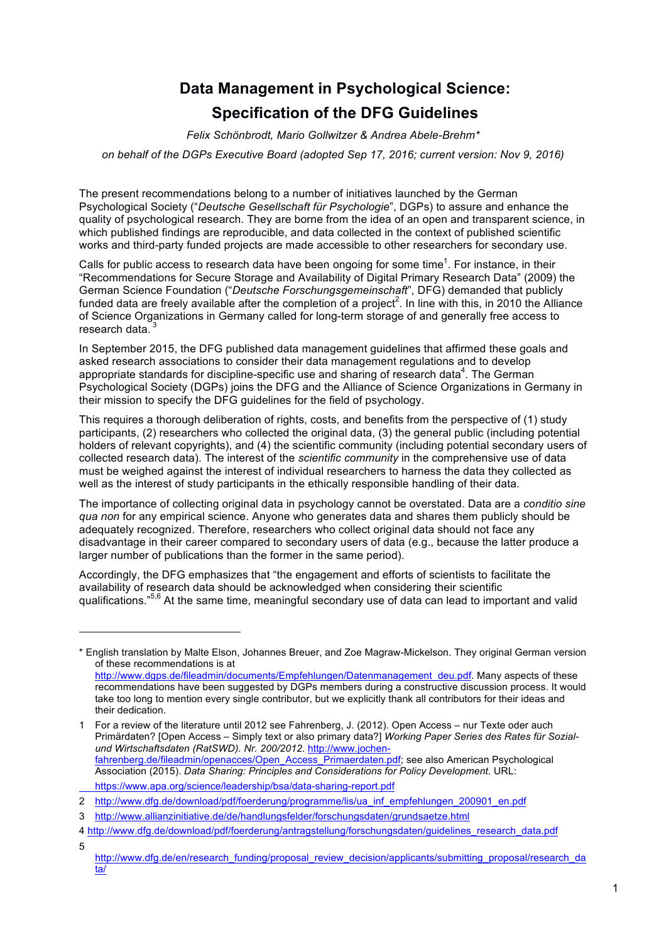# **Data Management in Psychological Science: Specification of the DFG Guidelines**

*Felix Schönbrodt, Mario Gollwitzer & Andrea Abele-Brehm\**

*on behalf of the DGPs Executive Board (adopted Sep 17, 2016; current version: Nov 9, 2016)*

The present recommendations belong to a number of initiatives launched by the German Psychological Society ("*Deutsche Gesellschaft für Psychologie*", DGPs) to assure and enhance the quality of psychological research. They are borne from the idea of an open and transparent science, in which published findings are reproducible, and data collected in the context of published scientific works and third-party funded projects are made accessible to other researchers for secondary use.

Calls for public access to research data have been ongoing for some time<sup>1</sup>. For instance, in their "Recommendations for Secure Storage and Availability of Digital Primary Research Data" (2009) the German Science Foundation ("*Deutsche Forschungsgemeinschaft*", DFG) demanded that publicly funded data are freely available after the completion of a project<sup>2</sup>. In line with this, in 2010 the Alliance of Science Organizations in Germany called for long-term storage of and generally free access to research data.

In September 2015, the DFG published data management guidelines that affirmed these goals and asked research associations to consider their data management regulations and to develop appropriate standards for discipline-specific use and sharing of research data $4$ . The German Psychological Society (DGPs) joins the DFG and the Alliance of Science Organizations in Germany in their mission to specify the DFG guidelines for the field of psychology.

This requires a thorough deliberation of rights, costs, and benefits from the perspective of (1) study participants, (2) researchers who collected the original data, (3) the general public (including potential holders of relevant copyrights), and (4) the scientific community (including potential secondary users of collected research data). The interest of the *scientific community* in the comprehensive use of data must be weighed against the interest of individual researchers to harness the data they collected as well as the interest of study participants in the ethically responsible handling of their data.

The importance of collecting original data in psychology cannot be overstated. Data are a *conditio sine qua non* for any empirical science. Anyone who generates data and shares them publicly should be adequately recognized. Therefore, researchers who collect original data should not face any disadvantage in their career compared to secondary users of data (e.g., because the latter produce a larger number of publications than the former in the same period).

Accordingly, the DFG emphasizes that "the engagement and efforts of scientists to facilitate the availability of research data should be acknowledged when considering their scientific qualifications."<sup>5,6</sup> At the same time, meaningful secondary use of data can lead to important and valid

l

<sup>\*</sup> English translation by Malte Elson, Johannes Breuer, and Zoe Magraw-Mickelson. They original German version of these recommendations is at

http://www.dgps.de/fileadmin/documents/Empfehlungen/Datenmanagement\_deu.pdf. Many aspects of these recommendations have been suggested by DGPs members during a constructive discussion process. It would take too long to mention every single contributor, but we explicitly thank all contributors for their ideas and their dedication.

<sup>1</sup> For a review of the literature until 2012 see Fahrenberg, J. (2012). Open Access – nur Texte oder auch Primärdaten? [Open Access – Simply text or also primary data?] *Working Paper Series des Rates für Sozialund Wirtschaftsdaten (RatSWD). Nr. 200/2012*. http://www.jochenfahrenberg.de/fileadmin/openacces/Open\_Access\_Primaerdaten.pdf; see also American Psychological Association (2015). *Data Sharing: Principles and Considerations for Policy Development*. URL: https://www.apa.org/science/leadership/bsa/data-sharing-report.pdf

<sup>2</sup> http://www.dfg.de/download/pdf/foerderung/programme/lis/ua\_inf\_empfehlungen\_200901\_en.pdf

<sup>3</sup> http://www.allianzinitiative.de/de/handlungsfelder/forschungsdaten/grundsaetze.html

<sup>4</sup> http://www.dfg.de/download/pdf/foerderung/antragstellung/forschungsdaten/guidelines\_research\_data.pdf 5

http://www.dfg.de/en/research\_funding/proposal\_review\_decision/applicants/submitting\_proposal/research\_da ta/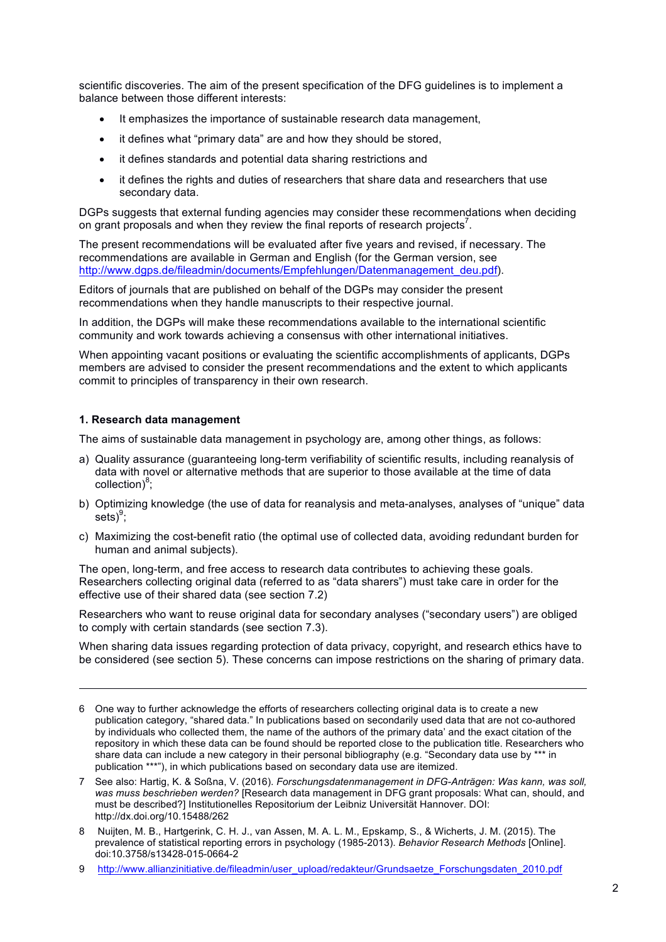scientific discoveries. The aim of the present specification of the DFG guidelines is to implement a balance between those different interests:

- It emphasizes the importance of sustainable research data management,
- it defines what "primary data" are and how they should be stored,
- it defines standards and potential data sharing restrictions and
- it defines the rights and duties of researchers that share data and researchers that use secondary data.

DGPs suggests that external funding agencies may consider these recommendations when deciding on grant proposals and when they review the final reports of research projects<sup>7</sup>.

The present recommendations will be evaluated after five years and revised, if necessary. The recommendations are available in German and English (for the German version, see http://www.dgps.de/fileadmin/documents/Empfehlungen/Datenmanagement\_deu.pdf).

Editors of journals that are published on behalf of the DGPs may consider the present recommendations when they handle manuscripts to their respective journal.

In addition, the DGPs will make these recommendations available to the international scientific community and work towards achieving a consensus with other international initiatives.

When appointing vacant positions or evaluating the scientific accomplishments of applicants, DGPs members are advised to consider the present recommendations and the extent to which applicants commit to principles of transparency in their own research.

#### **1. Research data management**

1

The aims of sustainable data management in psychology are, among other things, as follows:

- a) Quality assurance (guaranteeing long-term verifiability of scientific results, including reanalysis of data with novel or alternative methods that are superior to those available at the time of data collection)<sup>8</sup>;
- b) Optimizing knowledge (the use of data for reanalysis and meta-analyses, analyses of "unique" data  $\text{sets}\text{)}^9$ ;
- c) Maximizing the cost-benefit ratio (the optimal use of collected data, avoiding redundant burden for human and animal subjects).

The open, long-term, and free access to research data contributes to achieving these goals. Researchers collecting original data (referred to as "data sharers") must take care in order for the effective use of their shared data (see section 7.2)

Researchers who want to reuse original data for secondary analyses ("secondary users") are obliged to comply with certain standards (see section 7.3).

When sharing data issues regarding protection of data privacy, copyright, and research ethics have to be considered (see section 5). These concerns can impose restrictions on the sharing of primary data.

8 Nuijten, M. B., Hartgerink, C. H. J., van Assen, M. A. L. M., Epskamp, S., & Wicherts, J. M. (2015). The prevalence of statistical reporting errors in psychology (1985-2013). *Behavior Research Methods* [Online]. doi:10.3758/s13428-015-0664-2

<sup>6</sup> One way to further acknowledge the efforts of researchers collecting original data is to create a new publication category, "shared data." In publications based on secondarily used data that are not co-authored by individuals who collected them, the name of the authors of the primary data' and the exact citation of the repository in which these data can be found should be reported close to the publication title. Researchers who share data can include a new category in their personal bibliography (e.g. "Secondary data use by \*\*\* in publication \*\*\*"), in which publications based on secondary data use are itemized.

<sup>7</sup> See also: Hartig, K. & Soßna, V. (2016). *Forschungsdatenmanagement in DFG-Anträgen: Was kann, was soll, was muss beschrieben werden?* [Research data management in DFG grant proposals: What can, should, and must be described?] Institutionelles Repositorium der Leibniz Universität Hannover. DOI: http://dx.doi.org/10.15488/262

<sup>9</sup> http://www.allianzinitiative.de/fileadmin/user\_upload/redakteur/Grundsaetze\_Forschungsdaten\_2010.pdf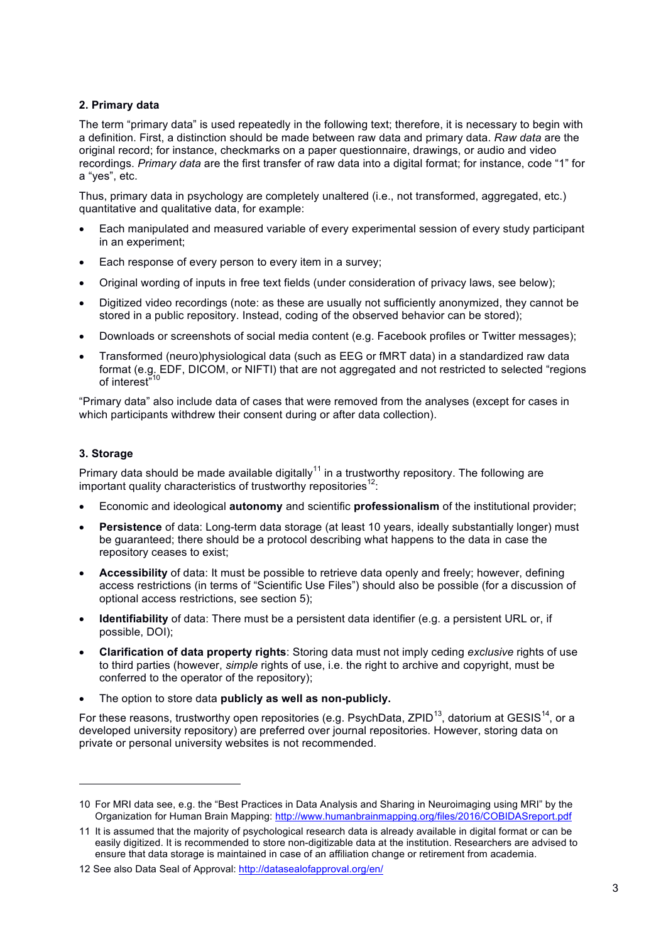# **2. Primary data**

The term "primary data" is used repeatedly in the following text; therefore, it is necessary to begin with a definition. First, a distinction should be made between raw data and primary data. *Raw data* are the original record; for instance, checkmarks on a paper questionnaire, drawings, or audio and video recordings. *Primary data* are the first transfer of raw data into a digital format; for instance, code "1" for a "yes", etc.

Thus, primary data in psychology are completely unaltered (i.e., not transformed, aggregated, etc.) quantitative and qualitative data, for example:

- Each manipulated and measured variable of every experimental session of every study participant in an experiment;
- Each response of every person to every item in a survey;
- Original wording of inputs in free text fields (under consideration of privacy laws, see below);
- Digitized video recordings (note: as these are usually not sufficiently anonymized, they cannot be stored in a public repository. Instead, coding of the observed behavior can be stored);
- Downloads or screenshots of social media content (e.g. Facebook profiles or Twitter messages);
- Transformed (neuro)physiological data (such as EEG or fMRT data) in a standardized raw data format (e.g. EDF, DICOM, or NIFTI) that are not aggregated and not restricted to selected "regions of interest"<sup>10</sup>

"Primary data" also include data of cases that were removed from the analyses (except for cases in which participants withdrew their consent during or after data collection).

#### **3. Storage**

l

Primary data should be made available digitally<sup>11</sup> in a trustworthy repository. The following are important quality characteristics of trustworthy repositories<sup>12</sup>:

- Economic and ideological **autonomy** and scientific **professionalism** of the institutional provider;
- **Persistence** of data: Long-term data storage (at least 10 years, ideally substantially longer) must be guaranteed; there should be a protocol describing what happens to the data in case the repository ceases to exist;
- **Accessibility** of data: It must be possible to retrieve data openly and freely; however, defining access restrictions (in terms of "Scientific Use Files") should also be possible (for a discussion of optional access restrictions, see section 5);
- **Identifiability** of data: There must be a persistent data identifier (e.g. a persistent URL or, if possible, DOI);
- **Clarification of data property rights**: Storing data must not imply ceding *exclusive* rights of use to third parties (however, *simple* rights of use, i.e. the right to archive and copyright, must be conferred to the operator of the repository);
- The option to store data **publicly as well as non-publicly.**

For these reasons, trustworthy open repositories (e.g. PsychData, ZPID $^{13}$ , datorium at GESIS<sup>14</sup>, or a developed university repository) are preferred over journal repositories. However, storing data on private or personal university websites is not recommended.

<sup>10</sup> For MRI data see, e.g. the "Best Practices in Data Analysis and Sharing in Neuroimaging using MRI" by the Organization for Human Brain Mapping: http://www.humanbrainmapping.org/files/2016/COBIDASreport.pdf

<sup>11</sup> It is assumed that the majority of psychological research data is already available in digital format or can be easily digitized. It is recommended to store non-digitizable data at the institution. Researchers are advised to ensure that data storage is maintained in case of an affiliation change or retirement from academia.

<sup>12</sup> See also Data Seal of Approval: http://datasealofapproval.org/en/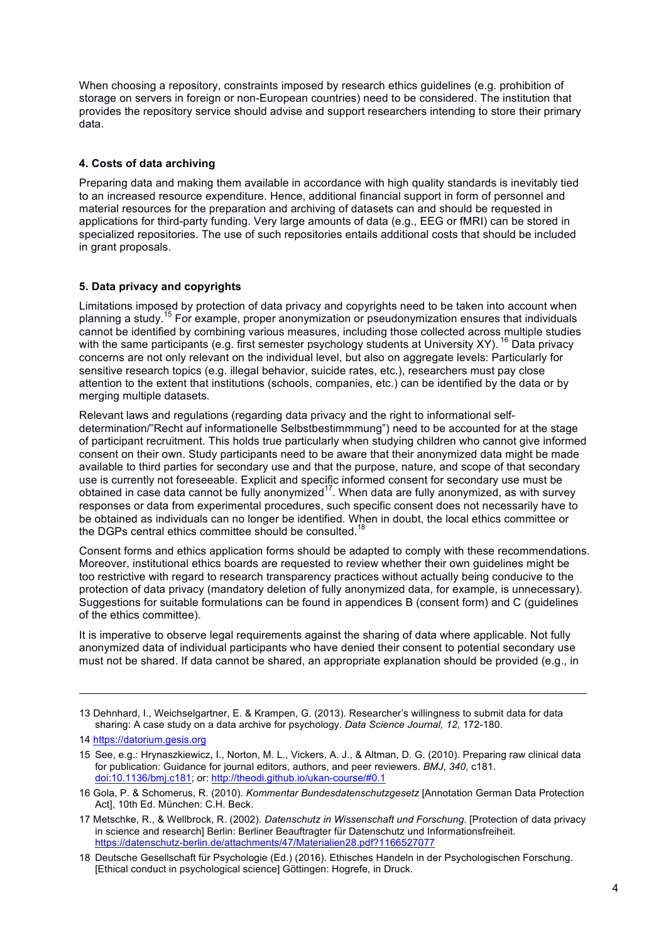When choosing a repository, constraints imposed by research ethics guidelines (e.g. prohibition of storage on servers in foreign or non-European countries) need to be considered. The institution that provides the repository service should advise and support researchers intending to store their primary data.

# **4. Costs of data archiving**

Preparing data and making them available in accordance with high quality standards is inevitably tied to an increased resource expenditure. Hence, additional financial support in form of personnel and material resources for the preparation and archiving of datasets can and should be requested in applications for third-party funding. Very large amounts of data (e.g., EEG or fMRI) can be stored in specialized repositories. The use of such repositories entails additional costs that should be included in grant proposals.

# **5. Data privacy and copyrights**

Limitations imposed by protection of data privacy and copyrights need to be taken into account when planning a study. <sup>15</sup> For example, proper anonymization or pseudonymization ensures that individuals cannot be identified by combining various measures, including those collected across multiple studies with the same participants (e.g. first semester psychology students at University XY). <sup>16</sup> Data privacy concerns are not only relevant on the individual level, but also on aggregate levels: Particularly for sensitive research topics (e.g. illegal behavior, suicide rates, etc.), researchers must pay close attention to the extent that institutions (schools, companies, etc.) can be identified by the data or by merging multiple datasets.

Relevant laws and regulations (regarding data privacy and the right to informational selfdetermination/"Recht auf informationelle Selbstbestimmmung") need to be accounted for at the stage of participant recruitment. This holds true particularly when studying children who cannot give informed consent on their own. Study participants need to be aware that their anonymized data might be made available to third parties for secondary use and that the purpose, nature, and scope of that secondary use is currently not foreseeable. Explicit and specific informed consent for secondary use must be obtained in case data cannot be fully anonymized<sup>17</sup>. When data are fully anonymized, as with survey responses or data from experimental procedures, such specific consent does not necessarily have to be obtained as individuals can no longer be identified. When in doubt, the local ethics committee or the DGPs central ethics committee should be consulted.<sup>18</sup>

Consent forms and ethics application forms should be adapted to comply with these recommendations. Moreover, institutional ethics boards are requested to review whether their own guidelines might be too restrictive with regard to research transparency practices without actually being conducive to the protection of data privacy (mandatory deletion of fully anonymized data, for example, is unnecessary). Suggestions for suitable formulations can be found in appendices B (consent form) and C (guidelines of the ethics committee).

It is imperative to observe legal requirements against the sharing of data where applicable. Not fully anonymized data of individual participants who have denied their consent to potential secondary use must not be shared. If data cannot be shared, an appropriate explanation should be provided (e.g., in

1

<sup>13</sup> Dehnhard, I., Weichselgartner, E. & Krampen, G. (2013). Researcher's willingness to submit data for data sharing: A case study on a data archive for psychology. *Data Science Journal, 12*, 172-180.

<sup>14</sup> https://datorium.gesis.org

<sup>15</sup> See, e.g.: Hrynaszkiewicz, I., Norton, M. L., Vickers, A. J., & Altman, D. G. (2010). Preparing raw clinical data for publication: Guidance for journal editors, authors, and peer reviewers. *BMJ*, *340*, c181. doi:10.1136/bmj.c181; or: http://theodi.github.io/ukan-course/#0.1

<sup>16</sup> Gola, P. & Schomerus, R. (2010). *Kommentar Bundesdatenschutzgesetz* [Annotation German Data Protection Act], 10th Ed. München: C.H. Beck.

<sup>17</sup> Metschke, R., & Wellbrock, R. (2002). *Datenschutz in Wissenschaft und Forschung*. [Protection of data privacy in science and research] Berlin: Berliner Beauftragter für Datenschutz und Informationsfreiheit. https://datenschutz-berlin.de/attachments/47/Materialien28.pdf?1166527077

<sup>18</sup> Deutsche Gesellschaft für Psychologie (Ed.) (2016). Ethisches Handeln in der Psychologischen Forschung. [Ethical conduct in psychological science] Göttingen: Hogrefe, in Druck.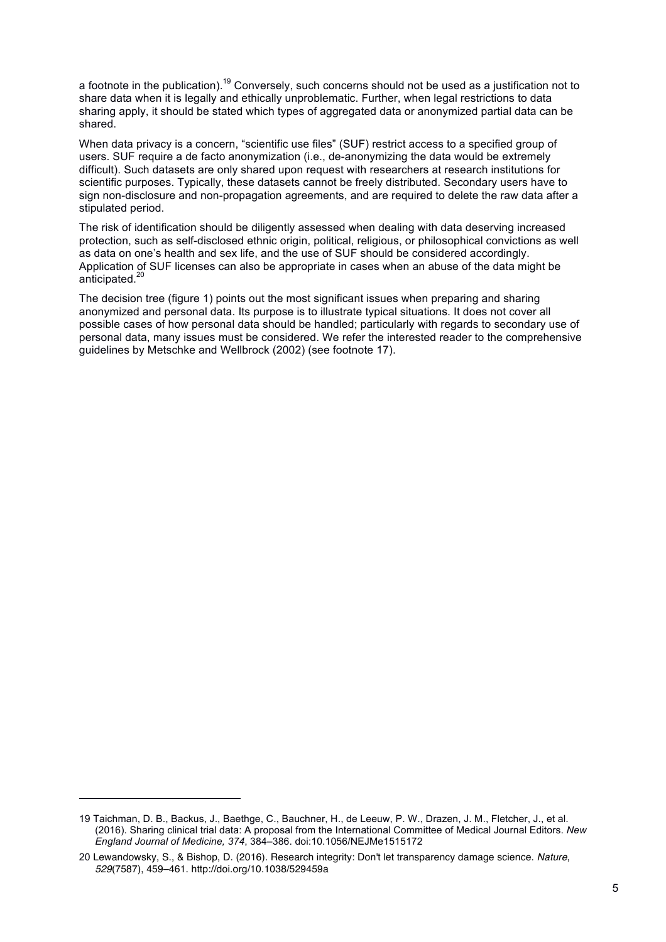a footnote in the publication).<sup>19</sup> Conversely, such concerns should not be used as a justification not to share data when it is legally and ethically unproblematic. Further, when legal restrictions to data sharing apply, it should be stated which types of aggregated data or anonymized partial data can be shared.

When data privacy is a concern, "scientific use files" (SUF) restrict access to a specified group of users. SUF require a de facto anonymization (i.e., de-anonymizing the data would be extremely difficult). Such datasets are only shared upon request with researchers at research institutions for scientific purposes. Typically, these datasets cannot be freely distributed. Secondary users have to sign non-disclosure and non-propagation agreements, and are required to delete the raw data after a stipulated period.

The risk of identification should be diligently assessed when dealing with data deserving increased protection, such as self-disclosed ethnic origin, political, religious, or philosophical convictions as well as data on one's health and sex life, and the use of SUF should be considered accordingly. Application of SUF licenses can also be appropriate in cases when an abuse of the data might be anticipated. 20

The decision tree (figure 1) points out the most significant issues when preparing and sharing anonymized and personal data. Its purpose is to illustrate typical situations. It does not cover all possible cases of how personal data should be handled; particularly with regards to secondary use of personal data, many issues must be considered. We refer the interested reader to the comprehensive guidelines by Metschke and Wellbrock (2002) (see footnote 17).

l

<sup>19</sup> Taichman, D. B., Backus, J., Baethge, C., Bauchner, H., de Leeuw, P. W., Drazen, J. M., Fletcher, J., et al. (2016). Sharing clinical trial data: A proposal from the International Committee of Medical Journal Editors. *New England Journal of Medicine, 374*, 384–386. doi:10.1056/NEJMe1515172

<sup>20</sup> Lewandowsky, S., & Bishop, D. (2016). Research integrity: Don't let transparency damage science. *Nature*, *529*(7587), 459–461. http://doi.org/10.1038/529459a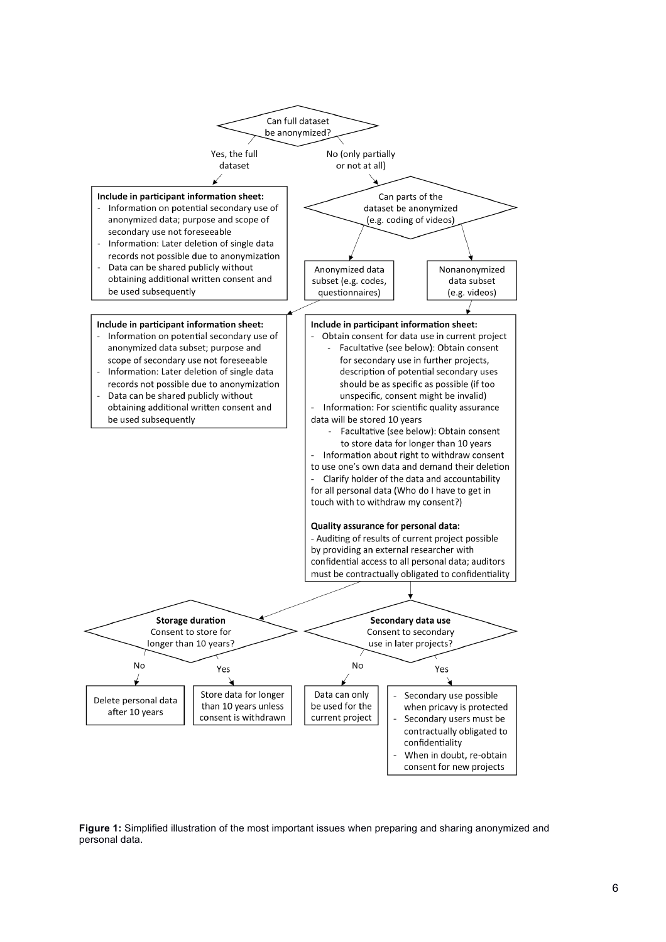

**Figure 1:** Simplified illustration of the most important issues when preparing and sharing anonymized and personal data.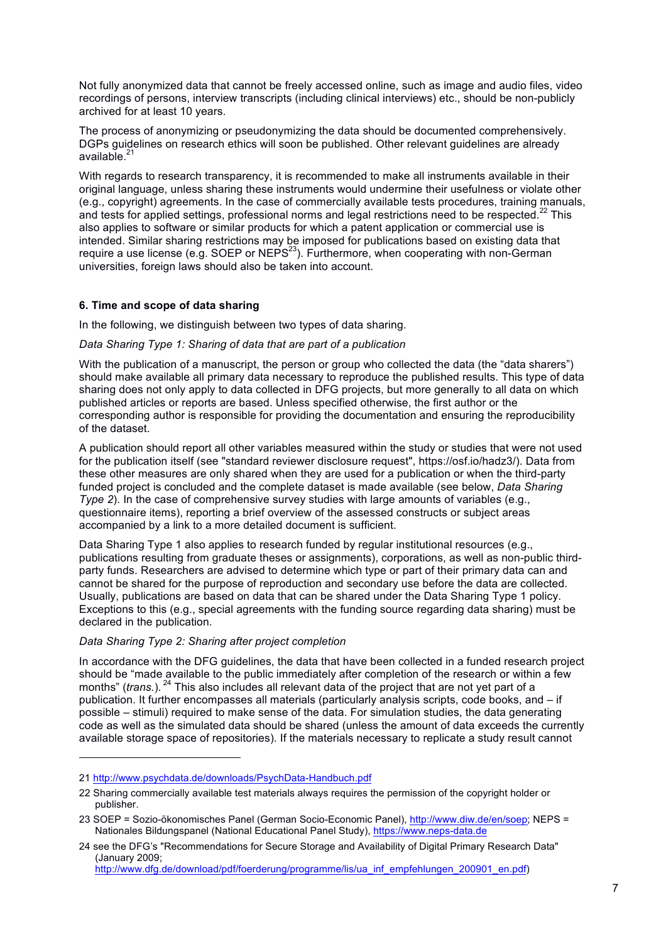Not fully anonymized data that cannot be freely accessed online, such as image and audio files, video recordings of persons, interview transcripts (including clinical interviews) etc., should be non-publicly archived for at least 10 years.

The process of anonymizing or pseudonymizing the data should be documented comprehensively. DGPs guidelines on research ethics will soon be published. Other relevant guidelines are already available.<sup>21</sup>

With regards to research transparency, it is recommended to make all instruments available in their original language, unless sharing these instruments would undermine their usefulness or violate other (e.g., copyright) agreements. In the case of commercially available tests procedures, training manuals, and tests for applied settings, professional norms and legal restrictions need to be respected.<sup>22</sup> This also applies to software or similar products for which a patent application or commercial use is intended. Similar sharing restrictions may be imposed for publications based on existing data that require a use license (e.g. SOEP or NEPS<sup>23</sup>). Furthermore, when cooperating with non-German universities, foreign laws should also be taken into account.

#### **6. Time and scope of data sharing**

In the following, we distinguish between two types of data sharing.

#### *Data Sharing Type 1: Sharing of data that are part of a publication*

With the publication of a manuscript, the person or group who collected the data (the "data sharers") should make available all primary data necessary to reproduce the published results. This type of data sharing does not only apply to data collected in DFG projects, but more generally to all data on which published articles or reports are based. Unless specified otherwise, the first author or the corresponding author is responsible for providing the documentation and ensuring the reproducibility of the dataset.

A publication should report all other variables measured within the study or studies that were not used for the publication itself (see "standard reviewer disclosure request", https://osf.io/hadz3/). Data from these other measures are only shared when they are used for a publication or when the third-party funded project is concluded and the complete dataset is made available (see below, *Data Sharing Type 2*). In the case of comprehensive survey studies with large amounts of variables (e.g., questionnaire items), reporting a brief overview of the assessed constructs or subject areas accompanied by a link to a more detailed document is sufficient.

Data Sharing Type 1 also applies to research funded by regular institutional resources (e.g., publications resulting from graduate theses or assignments), corporations, as well as non-public thirdparty funds. Researchers are advised to determine which type or part of their primary data can and cannot be shared for the purpose of reproduction and secondary use before the data are collected. Usually, publications are based on data that can be shared under the Data Sharing Type 1 policy. Exceptions to this (e.g., special agreements with the funding source regarding data sharing) must be declared in the publication.

# *Data Sharing Type 2: Sharing after project completion*

In accordance with the DFG guidelines, the data that have been collected in a funded research project should be "made available to the public immediately after completion of the research or within a few months" (*trans.*). <sup>24</sup> This also includes all relevant data of the project that are not yet part of a publication. It further encompasses all materials (particularly analysis scripts, code books, and ‒ if possible ‒ stimuli) required to make sense of the data. For simulation studies, the data generating code as well as the simulated data should be shared (unless the amount of data exceeds the currently available storage space of repositories). If the materials necessary to replicate a study result cannot

l

http://www.dfg.de/download/pdf/foerderung/programme/lis/ua\_inf\_empfehlungen\_200901\_en.pdf)

<sup>21</sup> http://www.psychdata.de/downloads/PsychData-Handbuch.pdf

<sup>22</sup> Sharing commercially available test materials always requires the permission of the copyright holder or publisher.

<sup>23</sup> SOEP = Sozio-ökonomisches Panel (German Socio-Economic Panel), http://www.diw.de/en/soep; NEPS = Nationales Bildungspanel (National Educational Panel Study), https://www.neps-data.de

<sup>24</sup> see the DFG's "Recommendations for Secure Storage and Availability of Digital Primary Research Data" (January 2009;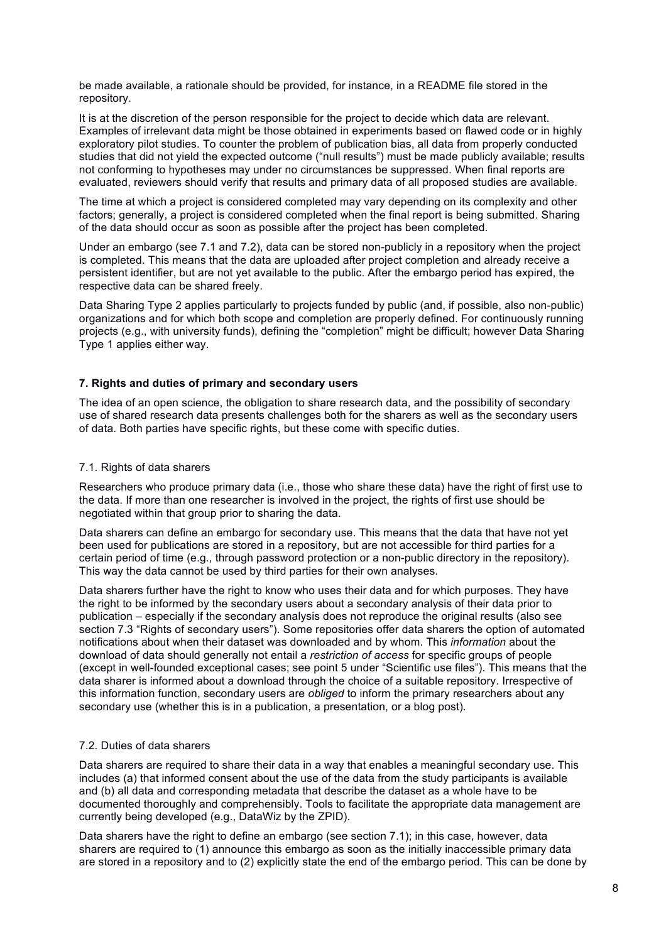be made available, a rationale should be provided, for instance, in a README file stored in the repository.

It is at the discretion of the person responsible for the project to decide which data are relevant. Examples of irrelevant data might be those obtained in experiments based on flawed code or in highly exploratory pilot studies. To counter the problem of publication bias, all data from properly conducted studies that did not yield the expected outcome ("null results") must be made publicly available; results not conforming to hypotheses may under no circumstances be suppressed. When final reports are evaluated, reviewers should verify that results and primary data of all proposed studies are available.

The time at which a project is considered completed may vary depending on its complexity and other factors; generally, a project is considered completed when the final report is being submitted. Sharing of the data should occur as soon as possible after the project has been completed.

Under an embargo (see 7.1 and 7.2), data can be stored non-publicly in a repository when the project is completed. This means that the data are uploaded after project completion and already receive a persistent identifier, but are not yet available to the public. After the embargo period has expired, the respective data can be shared freely.

Data Sharing Type 2 applies particularly to projects funded by public (and, if possible, also non-public) organizations and for which both scope and completion are properly defined. For continuously running projects (e.g., with university funds), defining the "completion" might be difficult; however Data Sharing Type 1 applies either way.

#### **7. Rights and duties of primary and secondary users**

The idea of an open science, the obligation to share research data, and the possibility of secondary use of shared research data presents challenges both for the sharers as well as the secondary users of data. Both parties have specific rights, but these come with specific duties.

#### 7.1. Rights of data sharers

Researchers who produce primary data (i.e., those who share these data) have the right of first use to the data. If more than one researcher is involved in the project, the rights of first use should be negotiated within that group prior to sharing the data.

Data sharers can define an embargo for secondary use. This means that the data that have not yet been used for publications are stored in a repository, but are not accessible for third parties for a certain period of time (e.g., through password protection or a non-public directory in the repository). This way the data cannot be used by third parties for their own analyses.

Data sharers further have the right to know who uses their data and for which purposes. They have the right to be informed by the secondary users about a secondary analysis of their data prior to publication ‒ especially if the secondary analysis does not reproduce the original results (also see section 7.3 "Rights of secondary users"). Some repositories offer data sharers the option of automated notifications about when their dataset was downloaded and by whom. This *information* about the download of data should generally not entail a *restriction of access* for specific groups of people (except in well-founded exceptional cases; see point 5 under "Scientific use files"). This means that the data sharer is informed about a download through the choice of a suitable repository. Irrespective of this information function, secondary users are *obliged* to inform the primary researchers about any secondary use (whether this is in a publication, a presentation, or a blog post).

# 7.2. Duties of data sharers

Data sharers are required to share their data in a way that enables a meaningful secondary use. This includes (a) that informed consent about the use of the data from the study participants is available and (b) all data and corresponding metadata that describe the dataset as a whole have to be documented thoroughly and comprehensibly. Tools to facilitate the appropriate data management are currently being developed (e.g., DataWiz by the ZPID).

Data sharers have the right to define an embargo (see section 7.1); in this case, however, data sharers are required to (1) announce this embargo as soon as the initially inaccessible primary data are stored in a repository and to (2) explicitly state the end of the embargo period. This can be done by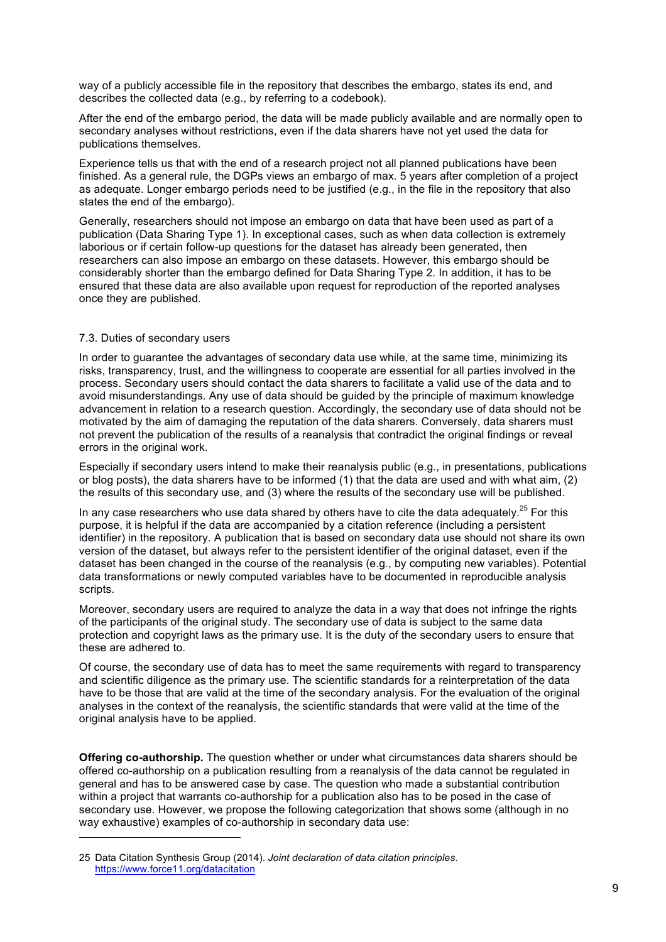way of a publicly accessible file in the repository that describes the embargo, states its end, and describes the collected data (e.g., by referring to a codebook).

After the end of the embargo period, the data will be made publicly available and are normally open to secondary analyses without restrictions, even if the data sharers have not yet used the data for publications themselves.

Experience tells us that with the end of a research project not all planned publications have been finished. As a general rule, the DGPs views an embargo of max. 5 years after completion of a project as adequate. Longer embargo periods need to be justified (e.g., in the file in the repository that also states the end of the embargo).

Generally, researchers should not impose an embargo on data that have been used as part of a publication (Data Sharing Type 1). In exceptional cases, such as when data collection is extremely laborious or if certain follow-up questions for the dataset has already been generated, then researchers can also impose an embargo on these datasets. However, this embargo should be considerably shorter than the embargo defined for Data Sharing Type 2. In addition, it has to be ensured that these data are also available upon request for reproduction of the reported analyses once they are published.

#### 7.3. Duties of secondary users

l

In order to guarantee the advantages of secondary data use while, at the same time, minimizing its risks, transparency, trust, and the willingness to cooperate are essential for all parties involved in the process. Secondary users should contact the data sharers to facilitate a valid use of the data and to avoid misunderstandings. Any use of data should be guided by the principle of maximum knowledge advancement in relation to a research question. Accordingly, the secondary use of data should not be motivated by the aim of damaging the reputation of the data sharers. Conversely, data sharers must not prevent the publication of the results of a reanalysis that contradict the original findings or reveal errors in the original work.

Especially if secondary users intend to make their reanalysis public (e.g., in presentations, publications or blog posts), the data sharers have to be informed (1) that the data are used and with what aim, (2) the results of this secondary use, and (3) where the results of the secondary use will be published.

In any case researchers who use data shared by others have to cite the data adequately.<sup>25</sup> For this purpose, it is helpful if the data are accompanied by a citation reference (including a persistent identifier) in the repository. A publication that is based on secondary data use should not share its own version of the dataset, but always refer to the persistent identifier of the original dataset, even if the dataset has been changed in the course of the reanalysis (e.g., by computing new variables). Potential data transformations or newly computed variables have to be documented in reproducible analysis scripts.

Moreover, secondary users are required to analyze the data in a way that does not infringe the rights of the participants of the original study. The secondary use of data is subject to the same data protection and copyright laws as the primary use. It is the duty of the secondary users to ensure that these are adhered to.

Of course, the secondary use of data has to meet the same requirements with regard to transparency and scientific diligence as the primary use. The scientific standards for a reinterpretation of the data have to be those that are valid at the time of the secondary analysis. For the evaluation of the original analyses in the context of the reanalysis, the scientific standards that were valid at the time of the original analysis have to be applied.

**Offering co-authorship.** The question whether or under what circumstances data sharers should be offered co-authorship on a publication resulting from a reanalysis of the data cannot be regulated in general and has to be answered case by case. The question who made a substantial contribution within a project that warrants co-authorship for a publication also has to be posed in the case of secondary use. However, we propose the following categorization that shows some (although in no way exhaustive) examples of co-authorship in secondary data use:

<sup>25</sup> Data Citation Synthesis Group (2014). *Joint declaration of data citation principles*. https://www.force11.org/datacitation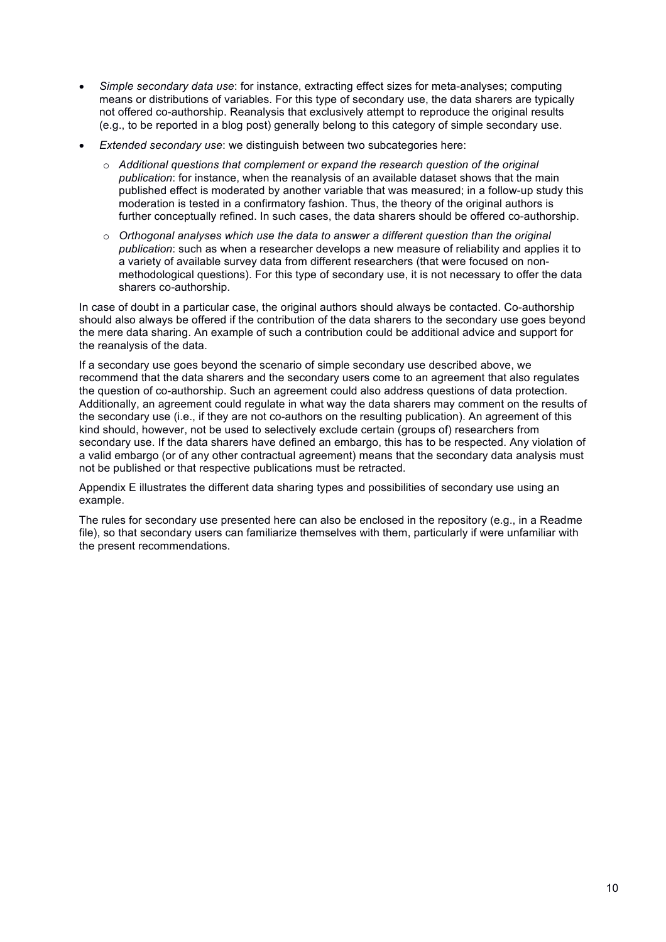- *Simple secondary data use*: for instance, extracting effect sizes for meta-analyses; computing means or distributions of variables. For this type of secondary use, the data sharers are typically not offered co-authorship. Reanalysis that exclusively attempt to reproduce the original results (e.g., to be reported in a blog post) generally belong to this category of simple secondary use.
- *Extended secondary use*: we distinguish between two subcategories here:
	- o *Additional questions that complement or expand the research question of the original publication*: for instance, when the reanalysis of an available dataset shows that the main published effect is moderated by another variable that was measured; in a follow-up study this moderation is tested in a confirmatory fashion. Thus, the theory of the original authors is further conceptually refined. In such cases, the data sharers should be offered co-authorship.
	- o *Orthogonal analyses which use the data to answer a different question than the original publication*: such as when a researcher develops a new measure of reliability and applies it to a variety of available survey data from different researchers (that were focused on nonmethodological questions). For this type of secondary use, it is not necessary to offer the data sharers co-authorship.

In case of doubt in a particular case, the original authors should always be contacted. Co-authorship should also always be offered if the contribution of the data sharers to the secondary use goes beyond the mere data sharing. An example of such a contribution could be additional advice and support for the reanalysis of the data.

If a secondary use goes beyond the scenario of simple secondary use described above, we recommend that the data sharers and the secondary users come to an agreement that also regulates the question of co-authorship. Such an agreement could also address questions of data protection. Additionally, an agreement could regulate in what way the data sharers may comment on the results of the secondary use (i.e., if they are not co-authors on the resulting publication). An agreement of this kind should, however, not be used to selectively exclude certain (groups of) researchers from secondary use. If the data sharers have defined an embargo, this has to be respected. Any violation of a valid embargo (or of any other contractual agreement) means that the secondary data analysis must not be published or that respective publications must be retracted.

Appendix E illustrates the different data sharing types and possibilities of secondary use using an example.

The rules for secondary use presented here can also be enclosed in the repository (e.g., in a Readme file), so that secondary users can familiarize themselves with them, particularly if were unfamiliar with the present recommendations.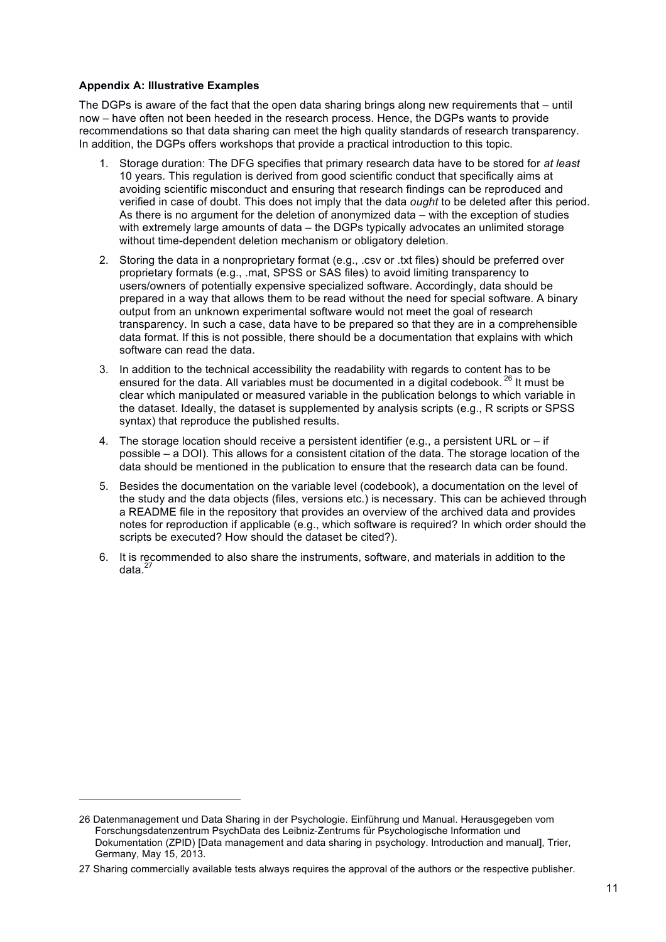#### **Appendix A: Illustrative Examples**

l

The DGPs is aware of the fact that the open data sharing brings along new requirements that  $-$  until now – have often not been heeded in the research process. Hence, the DGPs wants to provide recommendations so that data sharing can meet the high quality standards of research transparency. In addition, the DGPs offers workshops that provide a practical introduction to this topic.

- 1. Storage duration: The DFG specifies that primary research data have to be stored for *at least*  10 years. This regulation is derived from good scientific conduct that specifically aims at avoiding scientific misconduct and ensuring that research findings can be reproduced and verified in case of doubt. This does not imply that the data *ought* to be deleted after this period. As there is no argument for the deletion of anonymized data  $-$  with the exception of studies with extremely large amounts of data – the DGPs typically advocates an unlimited storage without time-dependent deletion mechanism or obligatory deletion.
- 2. Storing the data in a nonproprietary format (e.g., .csv or .txt files) should be preferred over proprietary formats (e.g., .mat, SPSS or SAS files) to avoid limiting transparency to users/owners of potentially expensive specialized software. Accordingly, data should be prepared in a way that allows them to be read without the need for special software. A binary output from an unknown experimental software would not meet the goal of research transparency. In such a case, data have to be prepared so that they are in a comprehensible data format. If this is not possible, there should be a documentation that explains with which software can read the data.
- 3. In addition to the technical accessibility the readability with regards to content has to be ensured for the data. All variables must be documented in a digital codebook.<sup>26</sup> It must be clear which manipulated or measured variable in the publication belongs to which variable in the dataset. Ideally, the dataset is supplemented by analysis scripts (e.g., R scripts or SPSS syntax) that reproduce the published results.
- 4. The storage location should receive a persistent identifier (e.g., a persistent URL or  $-$  if possible ‒ a DOI). This allows for a consistent citation of the data. The storage location of the data should be mentioned in the publication to ensure that the research data can be found.
- 5. Besides the documentation on the variable level (codebook), a documentation on the level of the study and the data objects (files, versions etc.) is necessary. This can be achieved through a README file in the repository that provides an overview of the archived data and provides notes for reproduction if applicable (e.g., which software is required? In which order should the scripts be executed? How should the dataset be cited?).
- 6. It is recommended to also share the instruments, software, and materials in addition to the data $^{27}$

<sup>26</sup> Datenmanagement und Data Sharing in der Psychologie. Einführung und Manual. Herausgegeben vom Forschungsdatenzentrum PsychData des Leibniz-Zentrums für Psychologische Information und Dokumentation (ZPID) [Data management and data sharing in psychology. Introduction and manual], Trier, Germany, May 15, 2013.

<sup>27</sup> Sharing commercially available tests always requires the approval of the authors or the respective publisher.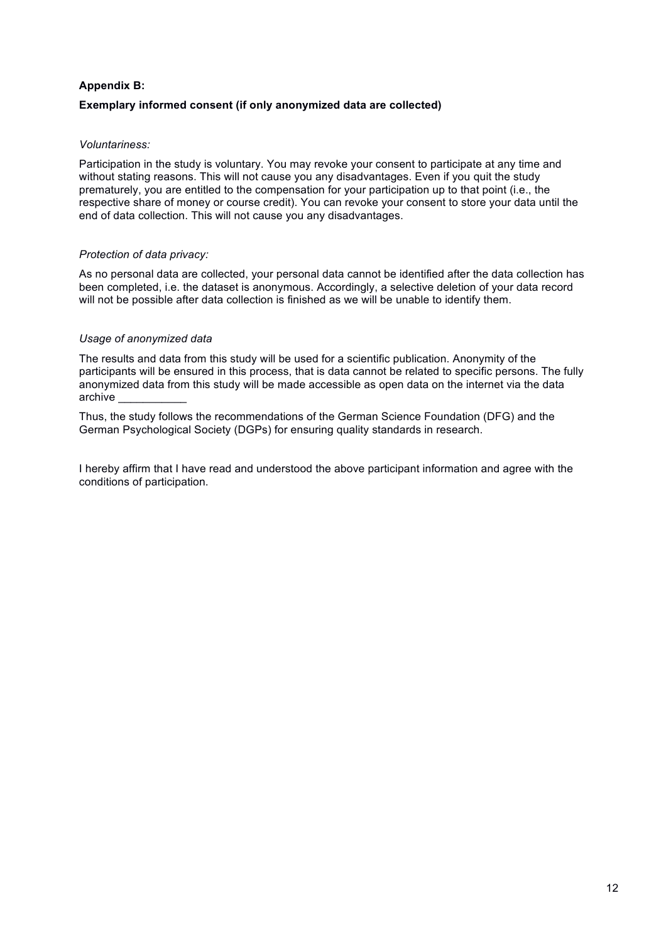# **Appendix B: Exemplary informed consent (if only anonymized data are collected)**

# *Voluntariness:*

Participation in the study is voluntary. You may revoke your consent to participate at any time and without stating reasons. This will not cause you any disadvantages. Even if you quit the study prematurely, you are entitled to the compensation for your participation up to that point (i.e., the respective share of money or course credit). You can revoke your consent to store your data until the end of data collection. This will not cause you any disadvantages.

# *Protection of data privacy:*

As no personal data are collected, your personal data cannot be identified after the data collection has been completed, i.e. the dataset is anonymous. Accordingly, a selective deletion of your data record will not be possible after data collection is finished as we will be unable to identify them.

# *Usage of anonymized data*

The results and data from this study will be used for a scientific publication. Anonymity of the participants will be ensured in this process, that is data cannot be related to specific persons. The fully anonymized data from this study will be made accessible as open data on the internet via the data archive \_\_\_\_\_\_\_\_\_\_\_

Thus, the study follows the recommendations of the German Science Foundation (DFG) and the German Psychological Society (DGPs) for ensuring quality standards in research.

I hereby affirm that I have read and understood the above participant information and agree with the conditions of participation.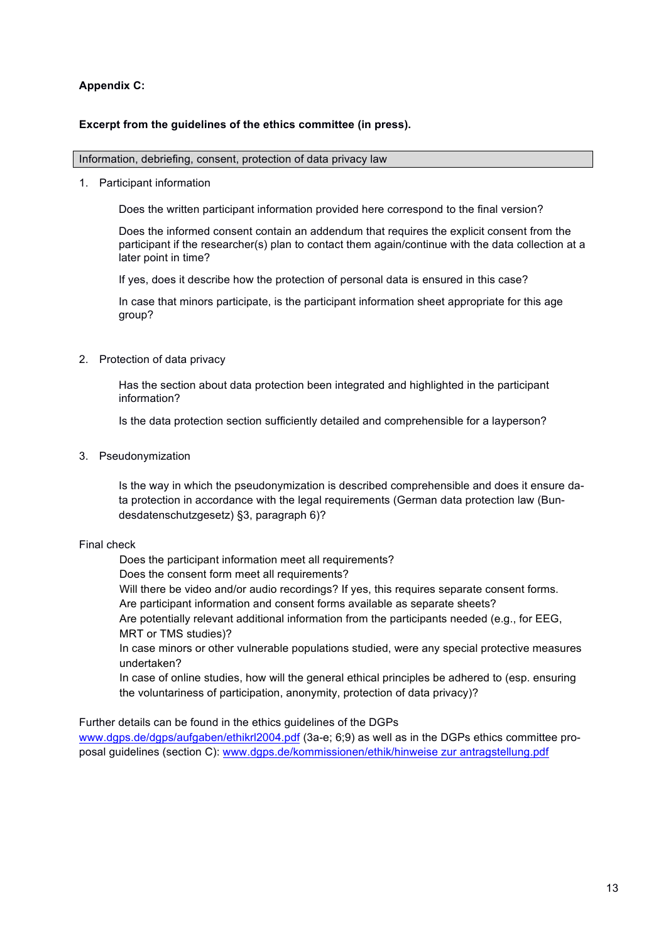# **Appendix C:**

# **Excerpt from the guidelines of the ethics committee (in press).**

#### Information, debriefing, consent, protection of data privacy law

1. Participant information

Does the written participant information provided here correspond to the final version?

Does the informed consent contain an addendum that requires the explicit consent from the participant if the researcher(s) plan to contact them again/continue with the data collection at a later point in time?

If yes, does it describe how the protection of personal data is ensured in this case?

In case that minors participate, is the participant information sheet appropriate for this age group?

2. Protection of data privacy

Has the section about data protection been integrated and highlighted in the participant information?

Is the data protection section sufficiently detailed and comprehensible for a layperson?

3. Pseudonymization

Is the way in which the pseudonymization is described comprehensible and does it ensure data protection in accordance with the legal requirements (German data protection law (Bundesdatenschutzgesetz) §3, paragraph 6)?

# Final check

Does the participant information meet all requirements?

Does the consent form meet all requirements?

Will there be video and/or audio recordings? If yes, this requires separate consent forms.

Are participant information and consent forms available as separate sheets?

Are potentially relevant additional information from the participants needed (e.g., for EEG, MRT or TMS studies)?

In case minors or other vulnerable populations studied, were any special protective measures undertaken?

In case of online studies, how will the general ethical principles be adhered to (esp. ensuring the voluntariness of participation, anonymity, protection of data privacy)?

Further details can be found in the ethics guidelines of the DGPs www.dgps.de/dgps/aufgaben/ethikrl2004.pdf (3a-e; 6;9) as well as in the DGPs ethics committee proposal guidelines (section C): www.dgps.de/kommissionen/ethik/hinweise zur antragstellung.pdf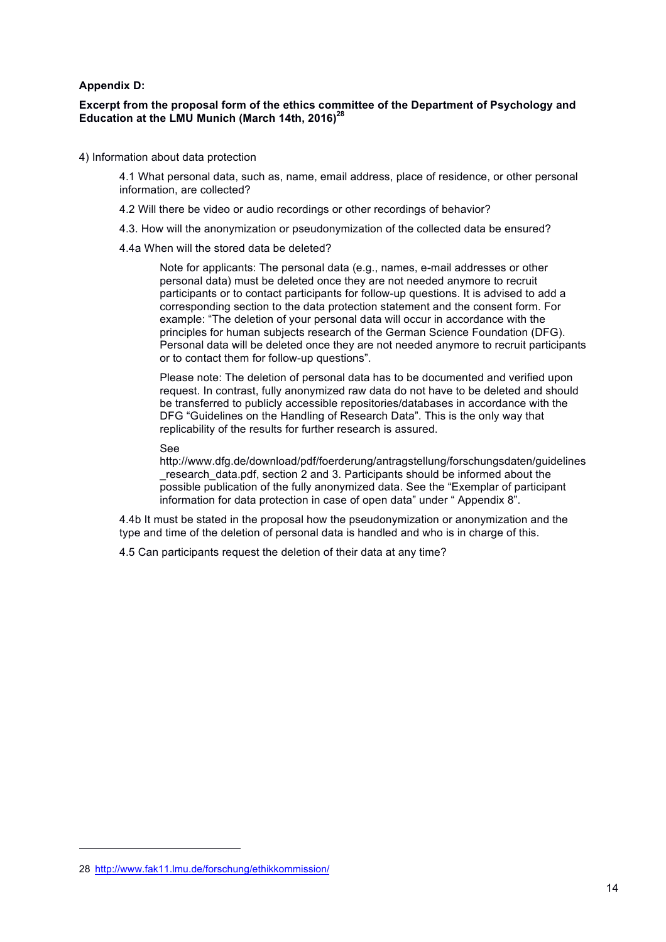#### **Appendix D:**

#### **Excerpt from the proposal form of the ethics committee of the Department of Psychology and**  Education at the LMU Munich (March 14th, 2016)<sup>28</sup>

4) Information about data protection

4.1 What personal data, such as, name, email address, place of residence, or other personal information, are collected?

- 4.2 Will there be video or audio recordings or other recordings of behavior?
- 4.3. How will the anonymization or pseudonymization of the collected data be ensured?
- 4.4a When will the stored data be deleted?

Note for applicants: The personal data (e.g., names, e-mail addresses or other personal data) must be deleted once they are not needed anymore to recruit participants or to contact participants for follow-up questions. It is advised to add a corresponding section to the data protection statement and the consent form. For example: "The deletion of your personal data will occur in accordance with the principles for human subjects research of the German Science Foundation (DFG). Personal data will be deleted once they are not needed anymore to recruit participants or to contact them for follow-up questions".

Please note: The deletion of personal data has to be documented and verified upon request. In contrast, fully anonymized raw data do not have to be deleted and should be transferred to publicly accessible repositories/databases in accordance with the DFG "Guidelines on the Handling of Research Data". This is the only way that replicability of the results for further research is assured.

See

http://www.dfg.de/download/pdf/foerderung/antragstellung/forschungsdaten/guidelines \_research\_data.pdf, section 2 and 3. Participants should be informed about the possible publication of the fully anonymized data. See the "Exemplar of participant information for data protection in case of open data" under " Appendix 8".

4.4b It must be stated in the proposal how the pseudonymization or anonymization and the type and time of the deletion of personal data is handled and who is in charge of this.

4.5 Can participants request the deletion of their data at any time?

l

<sup>28</sup> http://www.fak11.lmu.de/forschung/ethikkommission/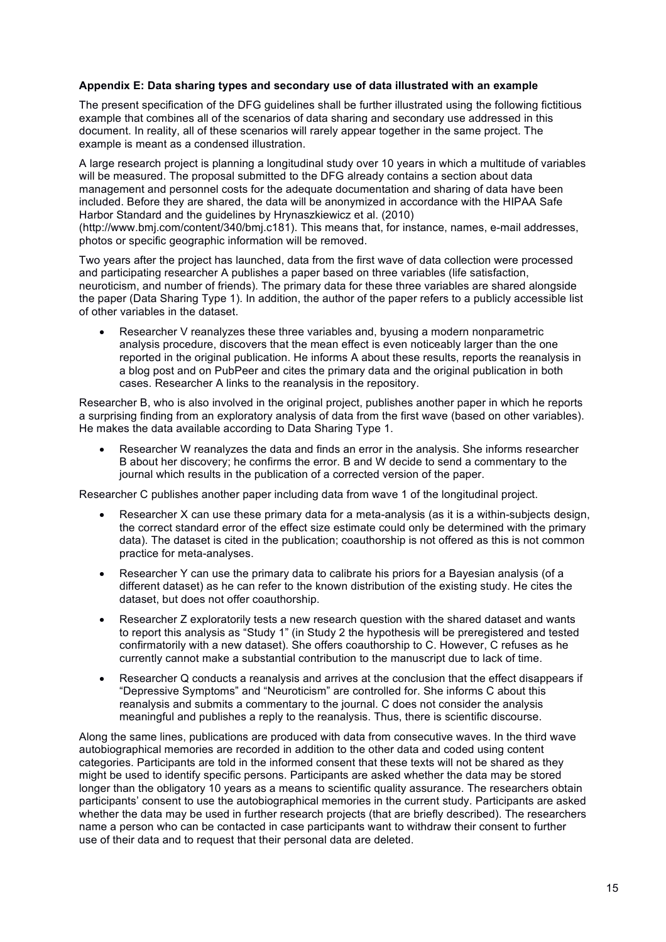#### **Appendix E: Data sharing types and secondary use of data illustrated with an example**

The present specification of the DFG guidelines shall be further illustrated using the following fictitious example that combines all of the scenarios of data sharing and secondary use addressed in this document. In reality, all of these scenarios will rarely appear together in the same project. The example is meant as a condensed illustration.

A large research project is planning a longitudinal study over 10 years in which a multitude of variables will be measured. The proposal submitted to the DFG already contains a section about data management and personnel costs for the adequate documentation and sharing of data have been included. Before they are shared, the data will be anonymized in accordance with the HIPAA Safe Harbor Standard and the guidelines by Hrynaszkiewicz et al. (2010)

(http://www.bmj.com/content/340/bmj.c181). This means that, for instance, names, e-mail addresses, photos or specific geographic information will be removed.

Two years after the project has launched, data from the first wave of data collection were processed and participating researcher A publishes a paper based on three variables (life satisfaction, neuroticism, and number of friends). The primary data for these three variables are shared alongside the paper (Data Sharing Type 1). In addition, the author of the paper refers to a publicly accessible list of other variables in the dataset.

• Researcher V reanalyzes these three variables and, byusing a modern nonparametric analysis procedure, discovers that the mean effect is even noticeably larger than the one reported in the original publication. He informs A about these results, reports the reanalysis in a blog post and on PubPeer and cites the primary data and the original publication in both cases. Researcher A links to the reanalysis in the repository.

Researcher B, who is also involved in the original project, publishes another paper in which he reports a surprising finding from an exploratory analysis of data from the first wave (based on other variables). He makes the data available according to Data Sharing Type 1.

• Researcher W reanalyzes the data and finds an error in the analysis. She informs researcher B about her discovery; he confirms the error. B and W decide to send a commentary to the journal which results in the publication of a corrected version of the paper.

Researcher C publishes another paper including data from wave 1 of the longitudinal project.

- Researcher X can use these primary data for a meta-analysis (as it is a within-subjects design, the correct standard error of the effect size estimate could only be determined with the primary data). The dataset is cited in the publication; coauthorship is not offered as this is not common practice for meta-analyses.
- Researcher Y can use the primary data to calibrate his priors for a Bayesian analysis (of a different dataset) as he can refer to the known distribution of the existing study. He cites the dataset, but does not offer coauthorship.
- Researcher Z exploratorily tests a new research question with the shared dataset and wants to report this analysis as "Study 1" (in Study 2 the hypothesis will be preregistered and tested confirmatorily with a new dataset). She offers coauthorship to C. However, C refuses as he currently cannot make a substantial contribution to the manuscript due to lack of time.
- Researcher Q conducts a reanalysis and arrives at the conclusion that the effect disappears if "Depressive Symptoms" and "Neuroticism" are controlled for. She informs C about this reanalysis and submits a commentary to the journal. C does not consider the analysis meaningful and publishes a reply to the reanalysis. Thus, there is scientific discourse.

Along the same lines, publications are produced with data from consecutive waves. In the third wave autobiographical memories are recorded in addition to the other data and coded using content categories. Participants are told in the informed consent that these texts will not be shared as they might be used to identify specific persons. Participants are asked whether the data may be stored longer than the obligatory 10 years as a means to scientific quality assurance. The researchers obtain participants' consent to use the autobiographical memories in the current study. Participants are asked whether the data may be used in further research projects (that are briefly described). The researchers name a person who can be contacted in case participants want to withdraw their consent to further use of their data and to request that their personal data are deleted.